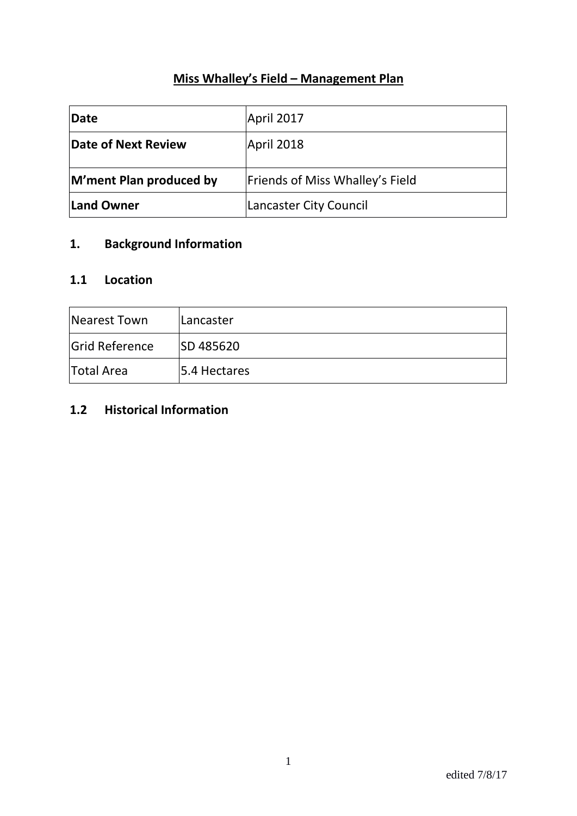# **Miss Whalley's Field – Management Plan**

| Date                    | April 2017                      |
|-------------------------|---------------------------------|
| Date of Next Review     | April 2018                      |
| M'ment Plan produced by | Friends of Miss Whalley's Field |
| <b>Land Owner</b>       | Lancaster City Council          |

# **1. Background Information**

#### **1.1 Location**

| Nearest Town          | Lancaster        |
|-----------------------|------------------|
| <b>Grid Reference</b> | <b>SD 485620</b> |
| <b>Total Area</b>     | 5.4 Hectares     |

# **1.2 Historical Information**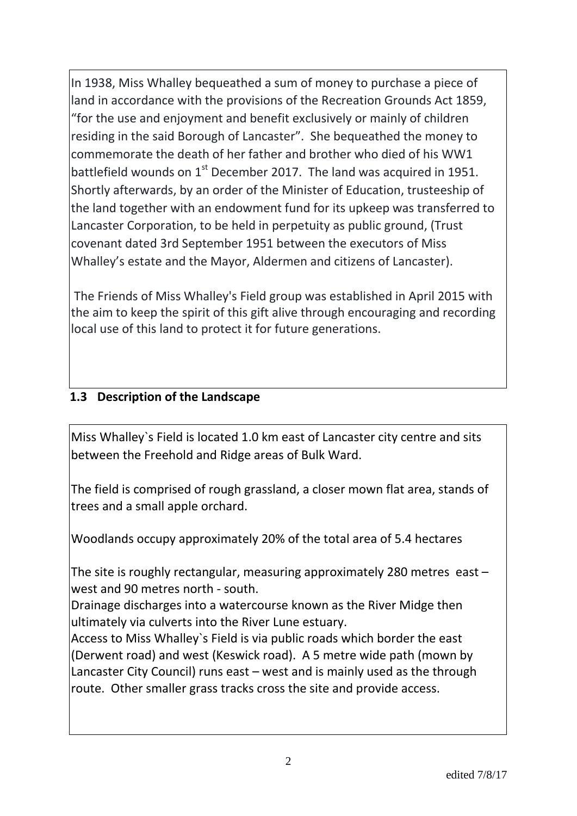In 1938, Miss Whalley bequeathed a sum of money to purchase a piece of land in accordance with the provisions of the Recreation Grounds Act 1859, "for the use and enjoyment and benefit exclusively or mainly of children residing in the said Borough of Lancaster". She bequeathed the money to commemorate the death of her father and brother who died of his WW1 battlefield wounds on  $1<sup>st</sup>$  December 2017. The land was acquired in 1951. Shortly afterwards, by an order of the Minister of Education, trusteeship of the land together with an endowment fund for its upkeep was transferred to Lancaster Corporation, to be held in perpetuity as public ground, (Trust covenant dated 3rd September 1951 between the executors of Miss Whalley's estate and the Mayor, Aldermen and citizens of Lancaster).

The Friends of Miss Whalley's Field group was established in April 2015 with the aim to keep the spirit of this gift alive through encouraging and recording local use of this land to protect it for future generations.

# **1.3 Description of the Landscape**

Miss Whalley`s Field is located 1.0 km east of Lancaster city centre and sits between the Freehold and Ridge areas of Bulk Ward.

The field is comprised of rough grassland, a closer mown flat area, stands of trees and a small apple orchard.

Woodlands occupy approximately 20% of the total area of 5.4 hectares

The site is roughly rectangular, measuring approximately 280 metres east – west and 90 metres north - south.

Drainage discharges into a watercourse known as the River Midge then ultimately via culverts into the River Lune estuary.

Access to Miss Whalley`s Field is via public roads which border the east (Derwent road) and west (Keswick road). A 5 metre wide path (mown by Lancaster City Council) runs east – west and is mainly used as the through route. Other smaller grass tracks cross the site and provide access.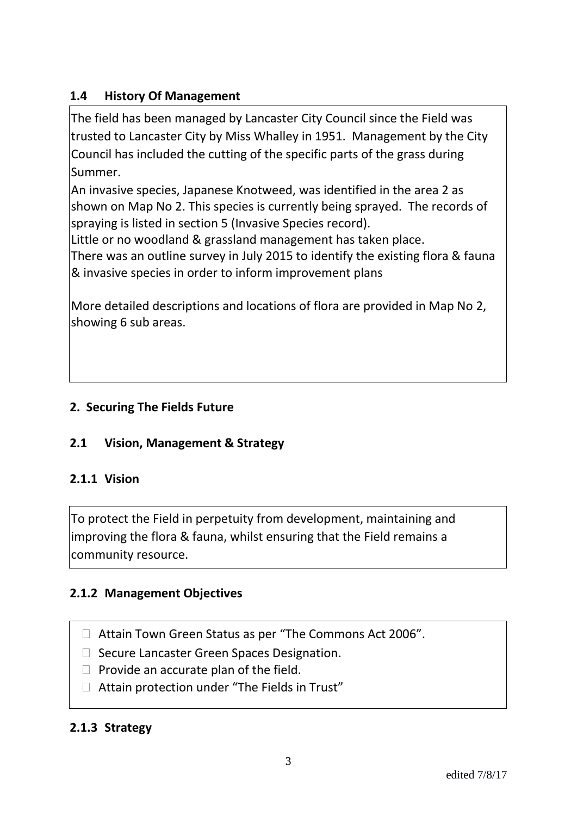# **1.4 History Of Management**

The field has been managed by Lancaster City Council since the Field was trusted to Lancaster City by Miss Whalley in 1951. Management by the City Council has included the cutting of the specific parts of the grass during Summer.

An invasive species, Japanese Knotweed, was identified in the area 2 as shown on Map No 2. This species is currently being sprayed. The records of spraying is listed in section 5 (Invasive Species record).

Little or no woodland & grassland management has taken place.

There was an outline survey in July 2015 to identify the existing flora & fauna & invasive species in order to inform improvement plans

More detailed descriptions and locations of flora are provided in Map No 2, showing 6 sub areas.

# **2. Securing The Fields Future**

# **2.1 Vision, Management & Strategy**

#### **2.1.1 Vision**

To protect the Field in perpetuity from development, maintaining and improving the flora & fauna, whilst ensuring that the Field remains a community resource.

# **2.1.2 Management Objectives**

- □ Attain Town Green Status as per "The Commons Act 2006".
- □ Secure Lancaster Green Spaces Designation.
- $\Box$  Provide an accurate plan of the field.
- $\Box$  Attain protection under "The Fields in Trust"

#### **2.1.3 Strategy**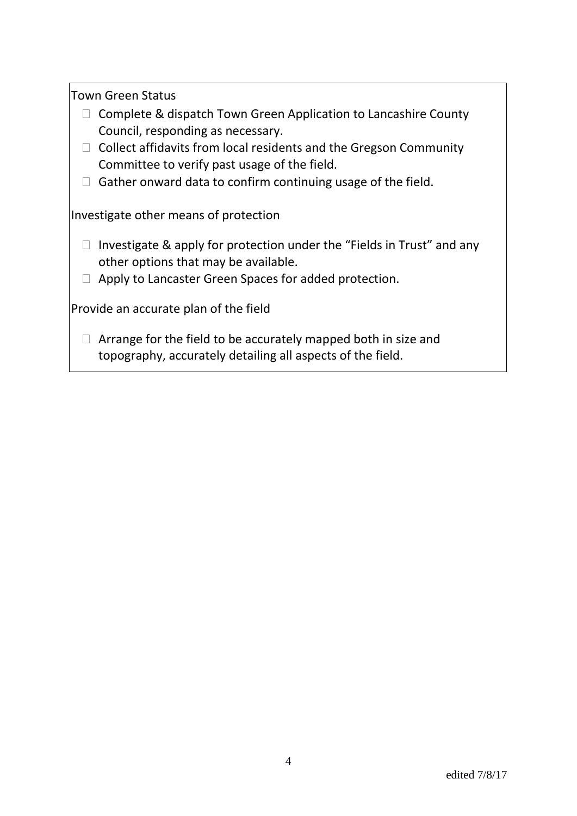Town Green Status

- $\Box$  Complete & dispatch Town Green Application to Lancashire County Council, responding as necessary.
- $\Box$  Collect affidavits from local residents and the Gregson Community Committee to verify past usage of the field.
- $\Box$  Gather onward data to confirm continuing usage of the field.

Investigate other means of protection

- $\Box$  Investigate & apply for protection under the "Fields in Trust" and any other options that may be available.
- $\Box$  Apply to Lancaster Green Spaces for added protection.

Provide an accurate plan of the field

 $\Box$  Arrange for the field to be accurately mapped both in size and topography, accurately detailing all aspects of the field.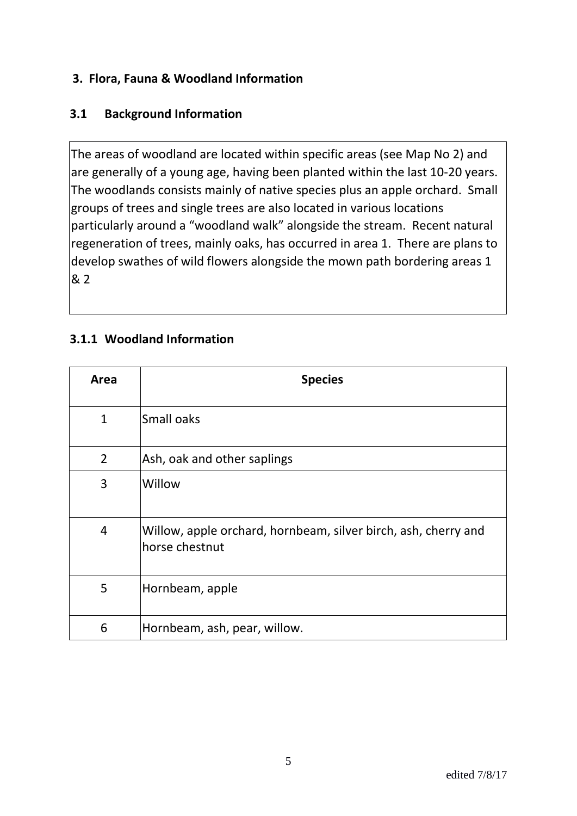# **3. Flora, Fauna & Woodland Information**

### **3.1 Background Information**

The areas of woodland are located within specific areas (see Map No 2) and are generally of a young age, having been planted within the last 10-20 years. The woodlands consists mainly of native species plus an apple orchard. Small groups of trees and single trees are also located in various locations particularly around a "woodland walk" alongside the stream. Recent natural regeneration of trees, mainly oaks, has occurred in area 1. There are plans to develop swathes of wild flowers alongside the mown path bordering areas 1 & 2

# **3.1.1 Woodland Information**

| Area           | <b>Species</b>                                                                   |
|----------------|----------------------------------------------------------------------------------|
| $\mathbf{1}$   | Small oaks                                                                       |
| $\overline{2}$ | Ash, oak and other saplings                                                      |
| 3              | Willow                                                                           |
| $\overline{4}$ | Willow, apple orchard, hornbeam, silver birch, ash, cherry and<br>horse chestnut |
| 5              | Hornbeam, apple                                                                  |
| 6              | Hornbeam, ash, pear, willow.                                                     |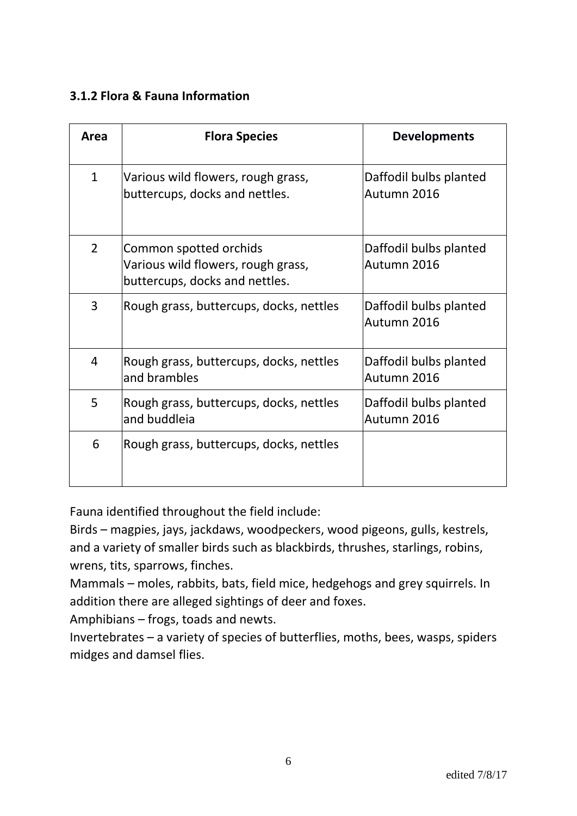### **3.1.2 Flora & Fauna Information**

| Area           | <b>Flora Species</b>                                                                           | <b>Developments</b>                   |  |
|----------------|------------------------------------------------------------------------------------------------|---------------------------------------|--|
| $\mathbf{1}$   | Various wild flowers, rough grass,<br>buttercups, docks and nettles.                           | Daffodil bulbs planted<br>Autumn 2016 |  |
| $\overline{2}$ | Common spotted orchids<br>Various wild flowers, rough grass,<br>buttercups, docks and nettles. | Daffodil bulbs planted<br>Autumn 2016 |  |
| 3              | Rough grass, buttercups, docks, nettles                                                        | Daffodil bulbs planted<br>Autumn 2016 |  |
| $\overline{4}$ | Rough grass, buttercups, docks, nettles<br>and brambles                                        | Daffodil bulbs planted<br>Autumn 2016 |  |
| 5              | Rough grass, buttercups, docks, nettles<br>and buddleia                                        | Daffodil bulbs planted<br>Autumn 2016 |  |
| 6              | Rough grass, buttercups, docks, nettles                                                        |                                       |  |

Fauna identified throughout the field include:

Birds – magpies, jays, jackdaws, woodpeckers, wood pigeons, gulls, kestrels, and a variety of smaller birds such as blackbirds, thrushes, starlings, robins, wrens, tits, sparrows, finches.

Mammals – moles, rabbits, bats, field mice, hedgehogs and grey squirrels. In addition there are alleged sightings of deer and foxes.

Amphibians – frogs, toads and newts.

Invertebrates – a variety of species of butterflies, moths, bees, wasps, spiders midges and damsel flies.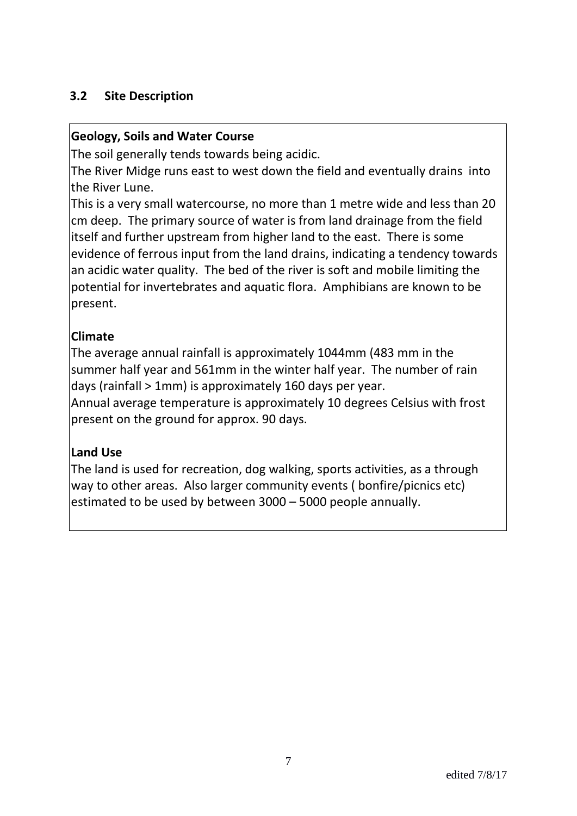### **3.2 Site Description**

#### **Geology, Soils and Water Course**

The soil generally tends towards being acidic.

The River Midge runs east to west down the field and eventually drains into the River Lune.

This is a very small watercourse, no more than 1 metre wide and less than 20 cm deep. The primary source of water is from land drainage from the field itself and further upstream from higher land to the east. There is some evidence of ferrous input from the land drains, indicating a tendency towards an acidic water quality. The bed of the river is soft and mobile limiting the potential for invertebrates and aquatic flora. Amphibians are known to be present.

# **Climate**

The average annual rainfall is approximately 1044mm (483 mm in the summer half year and 561mm in the winter half year. The number of rain days (rainfall > 1mm) is approximately 160 days per year.

Annual average temperature is approximately 10 degrees Celsius with frost present on the ground for approx. 90 days.

# **Land Use**

The land is used for recreation, dog walking, sports activities, as a through way to other areas. Also larger community events ( bonfire/picnics etc) estimated to be used by between 3000 – 5000 people annually.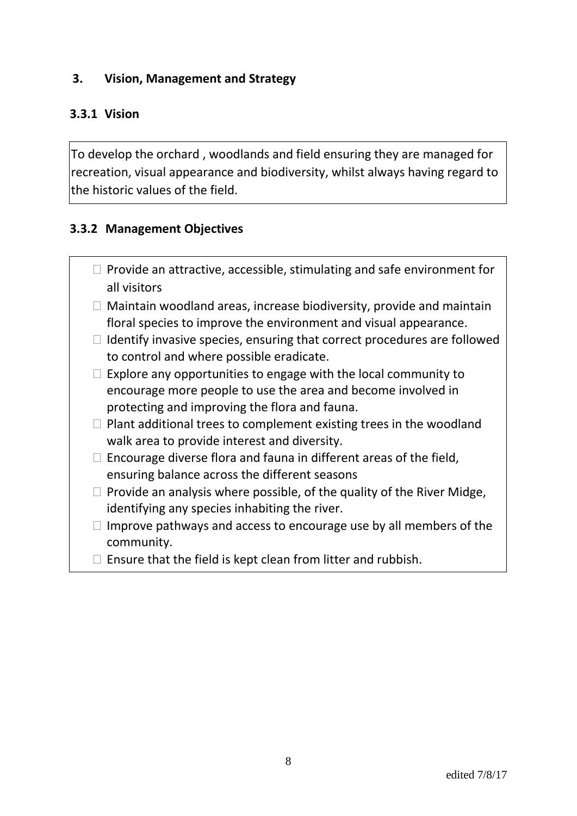#### **3. Vision, Management and Strategy**

### **3.3.1 Vision**

To develop the orchard , woodlands and field ensuring they are managed for recreation, visual appearance and biodiversity, whilst always having regard to the historic values of the field.

### **3.3.2 Management Objectives**

- $\Box$  Provide an attractive, accessible, stimulating and safe environment for all visitors
- $\Box$  Maintain woodland areas, increase biodiversity, provide and maintain floral species to improve the environment and visual appearance.
- $\Box$  Identify invasive species, ensuring that correct procedures are followed to control and where possible eradicate.
- $\Box$  Explore any opportunities to engage with the local community to encourage more people to use the area and become involved in protecting and improving the flora and fauna.
- $\Box$  Plant additional trees to complement existing trees in the woodland walk area to provide interest and diversity.
- $\Box$  Encourage diverse flora and fauna in different areas of the field, ensuring balance across the different seasons
- $\Box$  Provide an analysis where possible, of the quality of the River Midge, identifying any species inhabiting the river.
- $\Box$  Improve pathways and access to encourage use by all members of the community.
- $\Box$  Ensure that the field is kept clean from litter and rubbish.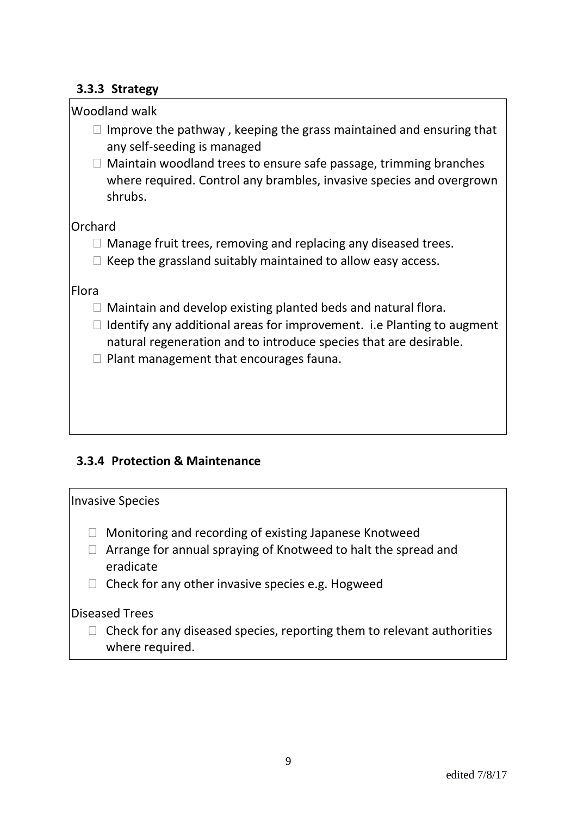#### **3.3.3 Strategy**

| Woodland walk                                                                                                                                        |
|------------------------------------------------------------------------------------------------------------------------------------------------------|
| Improve the pathway, keeping the grass maintained and ensuring that<br>any self-seeding is managed                                                   |
| Maintain woodland trees to ensure safe passage, trimming branches<br>where required. Control any brambles, invasive species and overgrown<br>shrubs. |
| Orchard                                                                                                                                              |
| Manage fruit trees, removing and replacing any diseased trees.                                                                                       |
| Keep the grassland suitably maintained to allow easy access.                                                                                         |
| Flora                                                                                                                                                |
| Maintain and develop existing planted beds and natural flora.                                                                                        |
| Identify any additional areas for improvement. i.e Planting to augment<br>natural regeneration and to introduce species that are desirable.          |
| Plant management that encourages fauna.                                                                                                              |
|                                                                                                                                                      |
|                                                                                                                                                      |
|                                                                                                                                                      |

# **3.3.4 Protection & Maintenance**

| <b>Invasive Species</b>                                                                                                                                                                    |
|--------------------------------------------------------------------------------------------------------------------------------------------------------------------------------------------|
| Monitoring and recording of existing Japanese Knotweed<br>Arrange for annual spraying of Knotweed to halt the spread and<br>eradicate<br>Check for any other invasive species e.g. Hogweed |
| <b>Diseased Trees</b><br>Check for any diseased species, reporting them to relevant authorities<br>where required.                                                                         |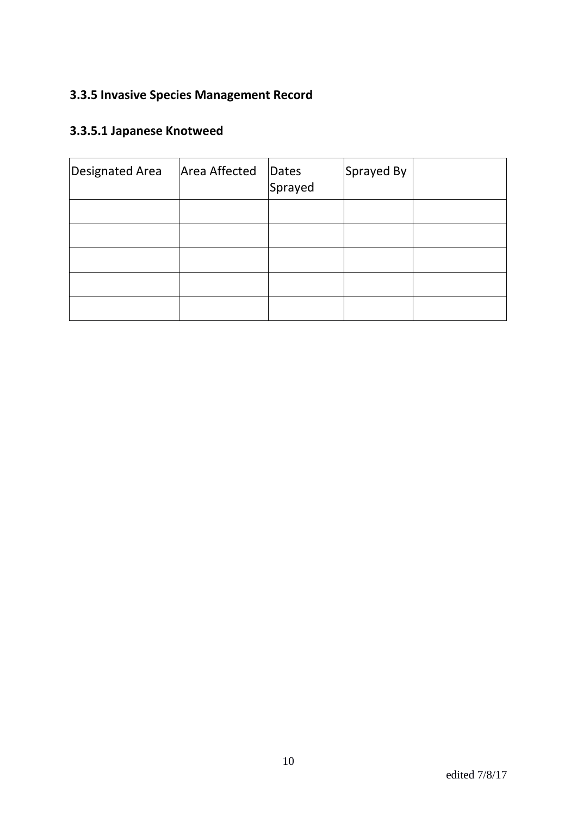# **3.3.5 Invasive Species Management Record**

# **3.3.5.1 Japanese Knotweed**

| Designated Area | Area Affected | Dates<br>Sprayed | Sprayed By |  |
|-----------------|---------------|------------------|------------|--|
|                 |               |                  |            |  |
|                 |               |                  |            |  |
|                 |               |                  |            |  |
|                 |               |                  |            |  |
|                 |               |                  |            |  |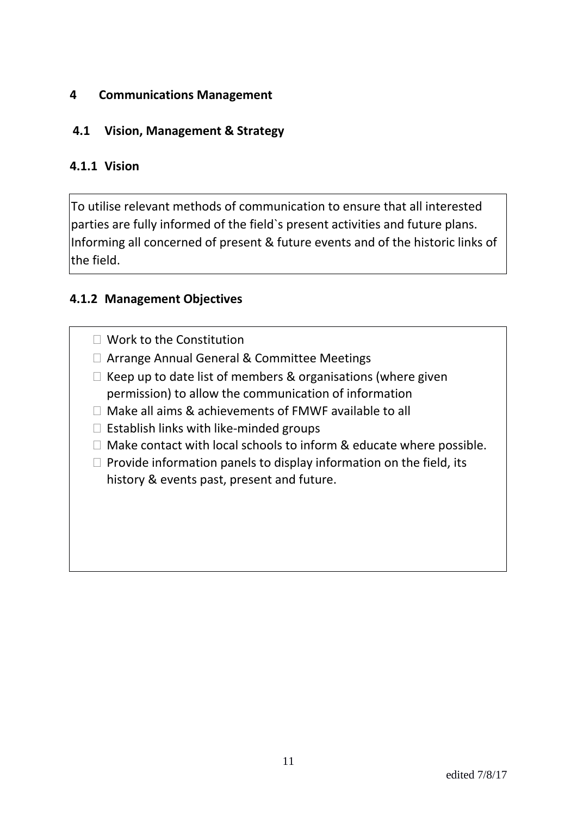#### **4 Communications Management**

# **4.1 Vision, Management & Strategy**

#### **4.1.1 Vision**

 $\vert$ To utilise relevant methods of communication to ensure that all interested parties are fully informed of the field`s present activities and future plans. Informing all concerned of present & future events and of the historic links of the field.

#### **4.1.2 Management Objectives**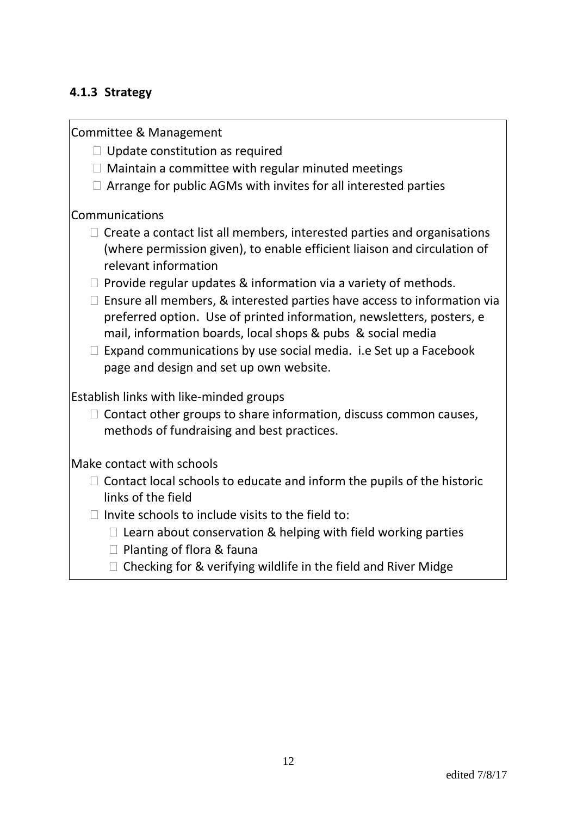### **4.1.3 Strategy**

Committee & Management

- $\Box$  Update constitution as required
- $\Box$  Maintain a committee with regular minuted meetings
- $\Box$  Arrange for public AGMs with invites for all interested parties

#### Communications

- $\Box$  Create a contact list all members, interested parties and organisations (where permission given), to enable efficient liaison and circulation of relevant information
- $\Box$  Provide regular updates & information via a variety of methods.
- $\Box$  Ensure all members, & interested parties have access to information via preferred option. Use of printed information, newsletters, posters, e mail, information boards, local shops & pubs & social media
- $\Box$  Expand communications by use social media. i.e Set up a Facebook page and design and set up own website.

Establish links with like-minded groups

 $\Box$  Contact other groups to share information, discuss common causes, methods of fundraising and best practices.

Make contact with schools

- $\Box$  Contact local schools to educate and inform the pupils of the historic links of the field
- $\Box$  Invite schools to include visits to the field to:
	- $\Box$  Learn about conservation & helping with field working parties
	- $\Box$  Planting of flora & fauna
	- $\Box$  Checking for & verifying wildlife in the field and River Midge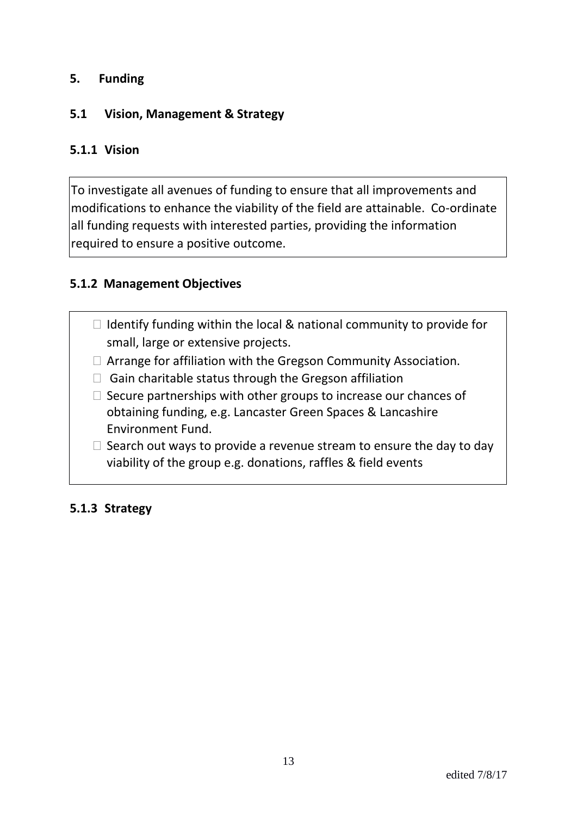#### **5. Funding**

#### **5.1 Vision, Management & Strategy**

#### **5.1.1 Vision**

To investigate all avenues of funding to ensure that all improvements and modifications to enhance the viability of the field are attainable. Co-ordinate all funding requests with interested parties, providing the information required to ensure a positive outcome.

#### **5.1.2 Management Objectives**

- $\Box$  Identify funding within the local & national community to provide for small, large or extensive projects.
- $\Box$  Arrange for affiliation with the Gregson Community Association.
- $\Box$  Gain charitable status through the Gregson affiliation
- $\Box$  Secure partnerships with other groups to increase our chances of obtaining funding, e.g. Lancaster Green Spaces & Lancashire Environment Fund.
- $\Box$  Search out ways to provide a revenue stream to ensure the day to day viability of the group e.g. donations, raffles & field events

#### **5.1.3 Strategy**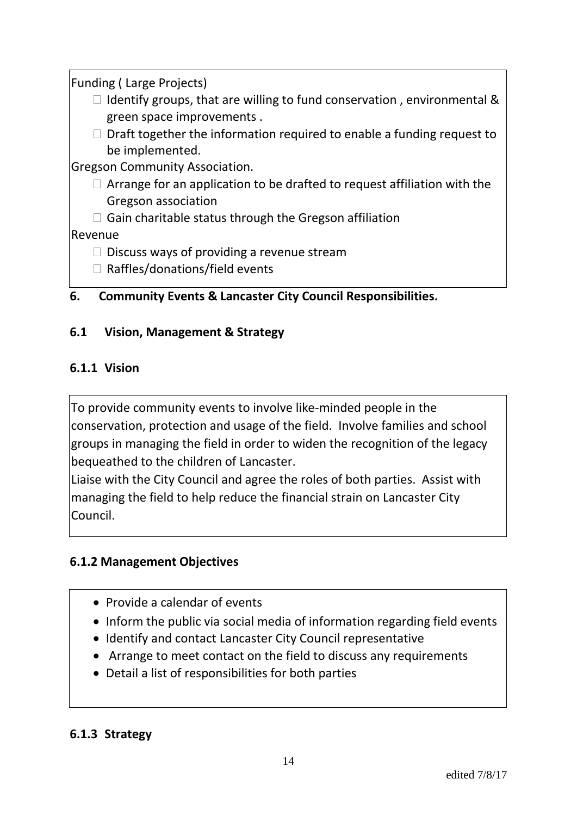Funding ( Large Projects)

- $\Box$  Identify groups, that are willing to fund conservation, environmental & green space improvements .
- $\Box$  Draft together the information required to enable a funding request to be implemented.

Gregson Community Association.

- $\Box$  Arrange for an application to be drafted to request affiliation with the Gregson association
- $\Box$  Gain charitable status through the Gregson affiliation

# Revenue

- $\Box$  Discuss ways of providing a revenue stream
- $\Box$  Raffles/donations/field events

# **6. Community Events & Lancaster City Council Responsibilities.**

# **6.1 Vision, Management & Strategy**

### **6.1.1 Vision**

To provide community events to involve like-minded people in the conservation, protection and usage of the field. Involve families and school groups in managing the field in order to widen the recognition of the legacy bequeathed to the children of Lancaster.

Liaise with the City Council and agree the roles of both parties. Assist with managing the field to help reduce the financial strain on Lancaster City Council.

# **6.1.2 Management Objectives**

- Provide a calendar of events
- Inform the public via social media of information regarding field events
- Identify and contact Lancaster City Council representative
- Arrange to meet contact on the field to discuss any requirements
- Detail a list of responsibilities for both parties

#### **6.1.3 Strategy**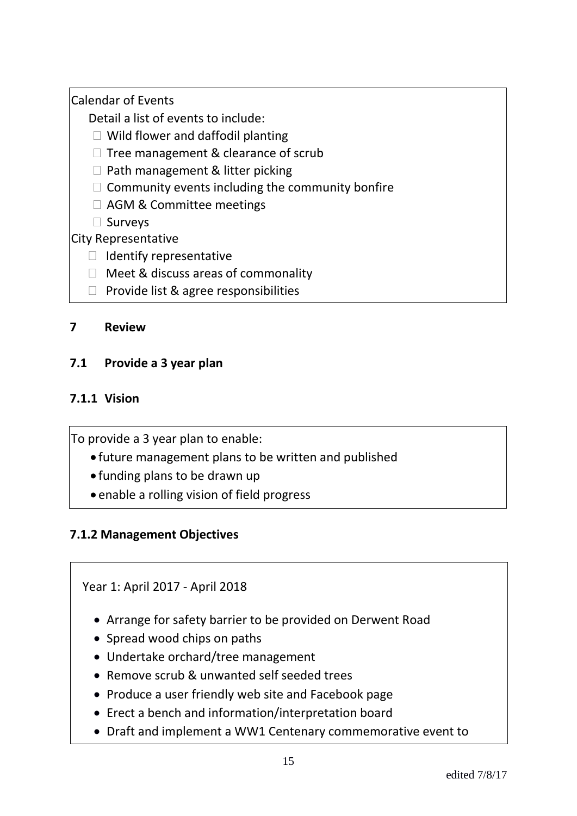Calendar of Events

Detail a list of events to include:

- □ Wild flower and daffodil planting
- $\Box$  Tree management & clearance of scrub
- $\Box$  Path management & litter picking
- $\Box$  Community events including the community bonfire
- □ AGM & Committee meetings
- □ Surveys

City Representative

- $\Box$  Identify representative
- □ Meet & discuss areas of commonality
- $\Box$  Provide list & agree responsibilities

### **7 Review**

# **7.1 Provide a 3 year plan**

# **7.1.1 Vision**

To provide a 3 year plan to enable:

- future management plans to be written and published
- funding plans to be drawn up
- enable a rolling vision of field progress

# **7.1.2 Management Objectives**

Year 1: April 2017 - April 2018

- Arrange for safety barrier to be provided on Derwent Road
- Spread wood chips on paths
- Undertake orchard/tree management
- Remove scrub & unwanted self seeded trees
- Produce a user friendly web site and Facebook page
- Erect a bench and information/interpretation board
- Draft and implement a WW1 Centenary commemorative event to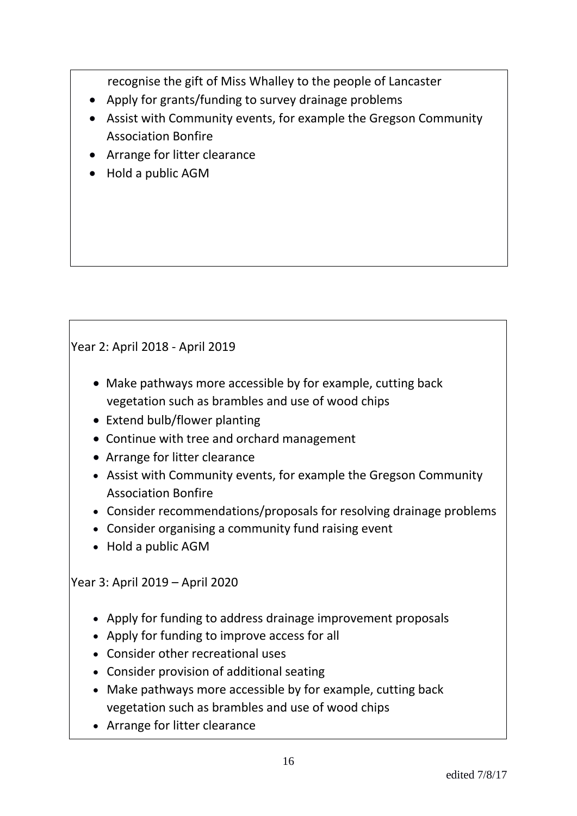recognise the gift of Miss Whalley to the people of Lancaster

- Apply for grants/funding to survey drainage problems
- Assist with Community events, for example the Gregson Community Association Bonfire
- Arrange for litter clearance
- Hold a public AGM

# Year 2: April 2018 - April 2019

- Make pathways more accessible by for example, cutting back vegetation such as brambles and use of wood chips
- Extend bulb/flower planting
- Continue with tree and orchard management
- Arrange for litter clearance
- Assist with Community events, for example the Gregson Community Association Bonfire
- Consider recommendations/proposals for resolving drainage problems
- Consider organising a community fund raising event
- Hold a public AGM

# Year 3: April 2019 – April 2020

- Apply for funding to address drainage improvement proposals
- Apply for funding to improve access for all
- Consider other recreational uses
- Consider provision of additional seating
- Make pathways more accessible by for example, cutting back vegetation such as brambles and use of wood chips
- Arrange for litter clearance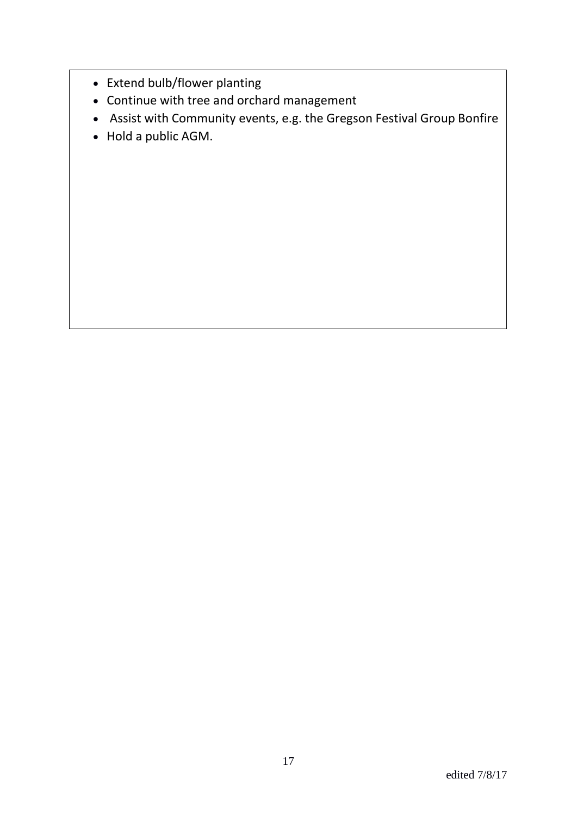- Extend bulb/flower planting
- Continue with tree and orchard management
- Assist with Community events, e.g. the Gregson Festival Group Bonfire
- Hold a public AGM.